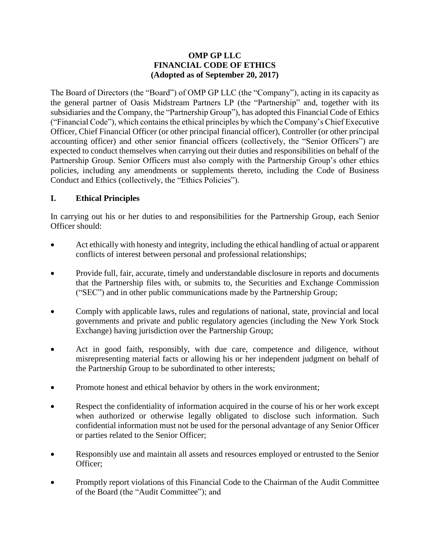#### **OMP GP LLC FINANCIAL CODE OF ETHICS (Adopted as of September 20, 2017)**

The Board of Directors (the "Board") of OMP GP LLC (the "Company"), acting in its capacity as the general partner of Oasis Midstream Partners LP (the "Partnership" and, together with its subsidiaries and the Company, the "Partnership Group"), has adopted this Financial Code of Ethics ("Financial Code"), which contains the ethical principles by which the Company's Chief Executive Officer, Chief Financial Officer (or other principal financial officer), Controller (or other principal accounting officer) and other senior financial officers (collectively, the "Senior Officers") are expected to conduct themselves when carrying out their duties and responsibilities on behalf of the Partnership Group. Senior Officers must also comply with the Partnership Group's other ethics policies, including any amendments or supplements thereto, including the Code of Business Conduct and Ethics (collectively, the "Ethics Policies").

## **I. Ethical Principles**

In carrying out his or her duties to and responsibilities for the Partnership Group, each Senior Officer should:

- Act ethically with honesty and integrity, including the ethical handling of actual or apparent conflicts of interest between personal and professional relationships;
- Provide full, fair, accurate, timely and understandable disclosure in reports and documents that the Partnership files with, or submits to, the Securities and Exchange Commission ("SEC") and in other public communications made by the Partnership Group;
- Comply with applicable laws, rules and regulations of national, state, provincial and local governments and private and public regulatory agencies (including the New York Stock Exchange) having jurisdiction over the Partnership Group;
- Act in good faith, responsibly, with due care, competence and diligence, without misrepresenting material facts or allowing his or her independent judgment on behalf of the Partnership Group to be subordinated to other interests;
- Promote honest and ethical behavior by others in the work environment;
- Respect the confidentiality of information acquired in the course of his or her work except when authorized or otherwise legally obligated to disclose such information. Such confidential information must not be used for the personal advantage of any Senior Officer or parties related to the Senior Officer;
- Responsibly use and maintain all assets and resources employed or entrusted to the Senior Officer;
- Promptly report violations of this Financial Code to the Chairman of the Audit Committee of the Board (the "Audit Committee"); and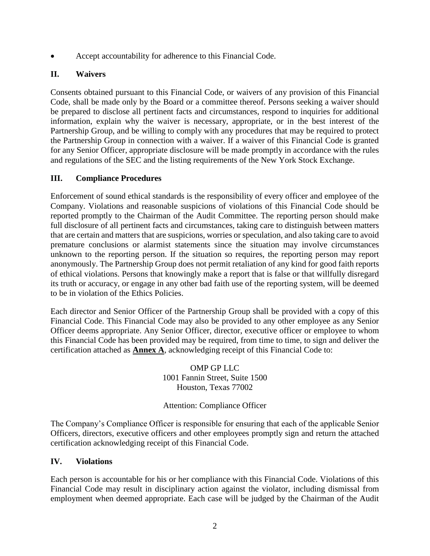Accept accountability for adherence to this Financial Code.

# **II. Waivers**

Consents obtained pursuant to this Financial Code, or waivers of any provision of this Financial Code, shall be made only by the Board or a committee thereof. Persons seeking a waiver should be prepared to disclose all pertinent facts and circumstances, respond to inquiries for additional information, explain why the waiver is necessary, appropriate, or in the best interest of the Partnership Group, and be willing to comply with any procedures that may be required to protect the Partnership Group in connection with a waiver. If a waiver of this Financial Code is granted for any Senior Officer, appropriate disclosure will be made promptly in accordance with the rules and regulations of the SEC and the listing requirements of the New York Stock Exchange.

## **III. Compliance Procedures**

Enforcement of sound ethical standards is the responsibility of every officer and employee of the Company. Violations and reasonable suspicions of violations of this Financial Code should be reported promptly to the Chairman of the Audit Committee. The reporting person should make full disclosure of all pertinent facts and circumstances, taking care to distinguish between matters that are certain and matters that are suspicions, worries or speculation, and also taking care to avoid premature conclusions or alarmist statements since the situation may involve circumstances unknown to the reporting person. If the situation so requires, the reporting person may report anonymously. The Partnership Group does not permit retaliation of any kind for good faith reports of ethical violations. Persons that knowingly make a report that is false or that willfully disregard its truth or accuracy, or engage in any other bad faith use of the reporting system, will be deemed to be in violation of the Ethics Policies.

Each director and Senior Officer of the Partnership Group shall be provided with a copy of this Financial Code. This Financial Code may also be provided to any other employee as any Senior Officer deems appropriate. Any Senior Officer, director, executive officer or employee to whom this Financial Code has been provided may be required, from time to time, to sign and deliver the certification attached as **[Annex](#page-3-0) A**, acknowledging receipt of this Financial Code to:

> OMP GP LLC 1001 Fannin Street, Suite 1500 Houston, Texas 77002

### Attention: Compliance Officer

The Company's Compliance Officer is responsible for ensuring that each of the applicable Senior Officers, directors, executive officers and other employees promptly sign and return the attached certification acknowledging receipt of this Financial Code.

### **IV. Violations**

Each person is accountable for his or her compliance with this Financial Code. Violations of this Financial Code may result in disciplinary action against the violator, including dismissal from employment when deemed appropriate. Each case will be judged by the Chairman of the Audit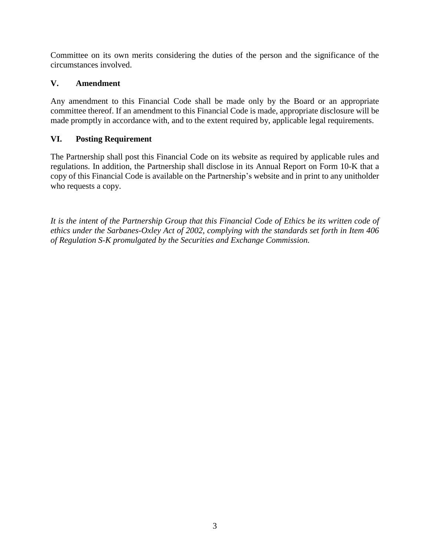Committee on its own merits considering the duties of the person and the significance of the circumstances involved.

## **V. Amendment**

Any amendment to this Financial Code shall be made only by the Board or an appropriate committee thereof. If an amendment to this Financial Code is made, appropriate disclosure will be made promptly in accordance with, and to the extent required by, applicable legal requirements.

## **VI. Posting Requirement**

The Partnership shall post this Financial Code on its website as required by applicable rules and regulations. In addition, the Partnership shall disclose in its Annual Report on Form 10-K that a copy of this Financial Code is available on the Partnership's website and in print to any unitholder who requests a copy.

*It is the intent of the Partnership Group that this Financial Code of Ethics be its written code of ethics under the Sarbanes-Oxley Act of 2002, complying with the standards set forth in Item 406 of Regulation S-K promulgated by the Securities and Exchange Commission.*